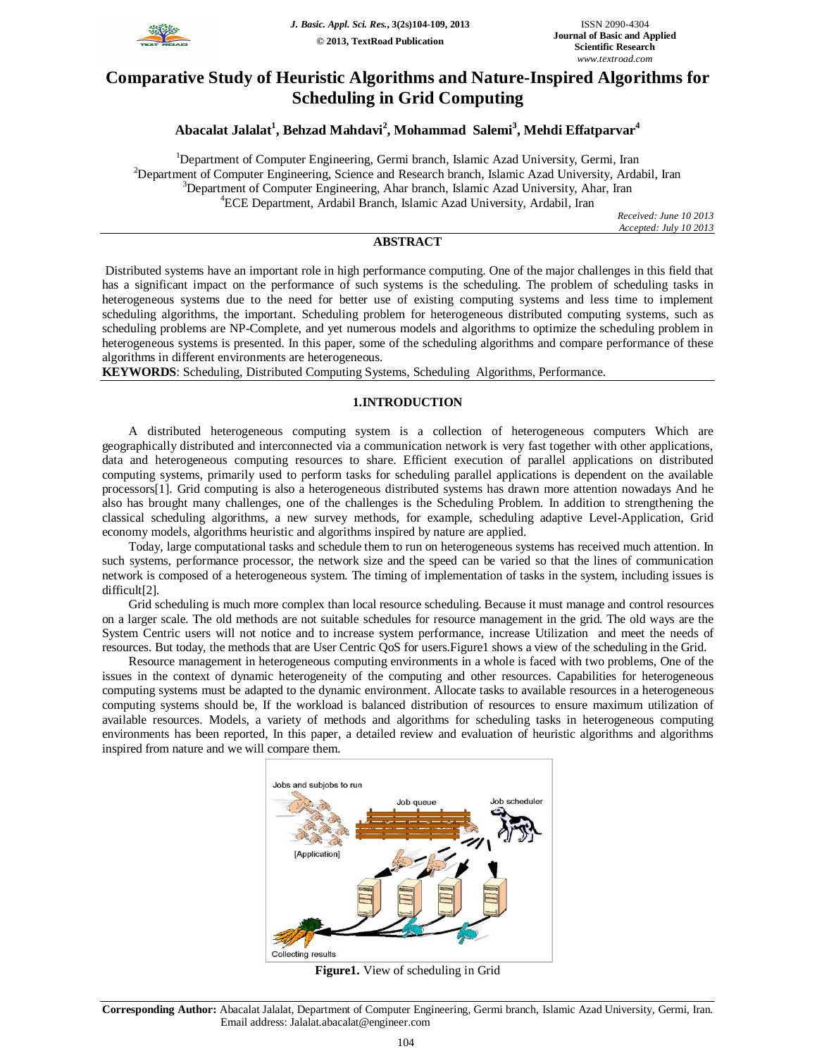

# **Comparative Study of Heuristic Algorithms and Nature-Inspired Algorithms for Scheduling in Grid Computing**

## **Abacalat Jalalat<sup>1</sup> , Behzad Mahdavi<sup>2</sup> , Mohammad Salemi<sup>3</sup> , Mehdi Effatparvar<sup>4</sup>**

<sup>1</sup>Department of Computer Engineering, Germi branch, Islamic Azad University, Germi, Iran <sup>2</sup>Department of Computer Engineering, Science and Research branch, Islamic Azad University, Ardabil, Iran <sup>3</sup>Department of Computer Engineering, Ahar branch, Islamic Azad University, Ahar, Iran <sup>4</sup>ECE Department, Ardabil Branch, Islamic Azad University, Ardabil, Iran

> *Received: June 10 2013 Accepted: July 10 2013*

## **ABSTRACT**

Distributed systems have an important role in high performance computing. One of the major challenges in this field that has a significant impact on the performance of such systems is the scheduling. The problem of scheduling tasks in heterogeneous systems due to the need for better use of existing computing systems and less time to implement scheduling algorithms, the important. Scheduling problem for heterogeneous distributed computing systems, such as scheduling problems are NP-Complete, and yet numerous models and algorithms to optimize the scheduling problem in heterogeneous systems is presented. In this paper, some of the scheduling algorithms and compare performance of these algorithms in different environments are heterogeneous.

**KEYWORDS**: Scheduling, Distributed Computing Systems, Scheduling Algorithms, Performance.

## **1.INTRODUCTION**

A distributed heterogeneous computing system is a collection of heterogeneous computers Which are geographically distributed and interconnected via a communication network is very fast together with other applications, data and heterogeneous computing resources to share. Efficient execution of parallel applications on distributed computing systems, primarily used to perform tasks for scheduling parallel applications is dependent on the available processors[1]. Grid computing is also a heterogeneous distributed systems has drawn more attention nowadays And he also has brought many challenges, one of the challenges is the Scheduling Problem. In addition to strengthening the classical scheduling algorithms, a new survey methods, for example, scheduling adaptive Level-Application, Grid economy models, algorithms heuristic and algorithms inspired by nature are applied.

Today, large computational tasks and schedule them to run on heterogeneous systems has received much attention. In such systems, performance processor, the network size and the speed can be varied so that the lines of communication network is composed of a heterogeneous system. The timing of implementation of tasks in the system, including issues is difficult[2].

Grid scheduling is much more complex than local resource scheduling. Because it must manage and control resources on a larger scale. The old methods are not suitable schedules for resource management in the grid. The old ways are the System Centric users will not notice and to increase system performance, increase Utilization and meet the needs of resources. But today, the methods that are User Centric QoS for users.Figure1 shows a view of the scheduling in the Grid.

Resource management in heterogeneous computing environments in a whole is faced with two problems, One of the issues in the context of dynamic heterogeneity of the computing and other resources. Capabilities for heterogeneous computing systems must be adapted to the dynamic environment. Allocate tasks to available resources in a heterogeneous computing systems should be, If the workload is balanced distribution of resources to ensure maximum utilization of available resources. Models, a variety of methods and algorithms for scheduling tasks in heterogeneous computing environments has been reported, In this paper, a detailed review and evaluation of heuristic algorithms and algorithms inspired from nature and we will compare them.



**Figure1.** View of scheduling in Grid

**Corresponding Author:** Abacalat Jalalat, Department of Computer Engineering, Germi branch, Islamic Azad University, Germi, Iran. Email address: Jalalat.abacalat@engineer.com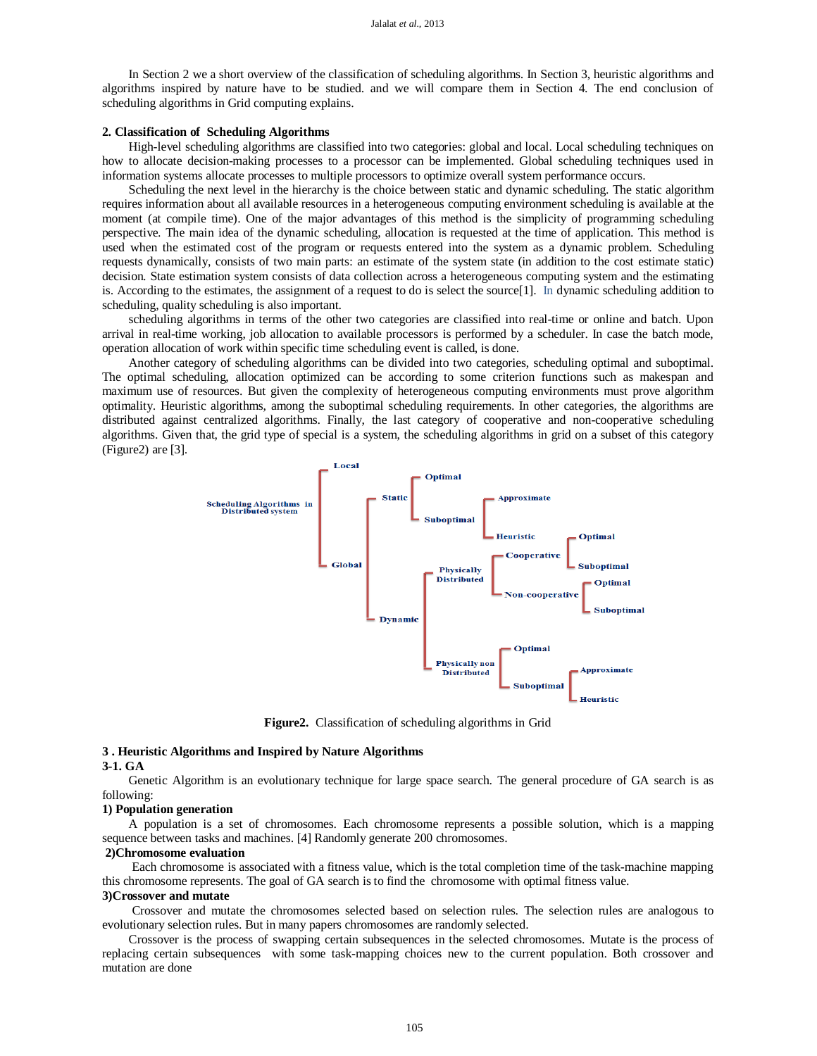In Section 2 we a short overview of the classification of scheduling algorithms. In Section 3, heuristic algorithms and algorithms inspired by nature have to be studied. and we will compare them in Section 4. The end conclusion of scheduling algorithms in Grid computing explains.

#### **2. Classification of Scheduling Algorithms**

High-level scheduling algorithms are classified into two categories: global and local. Local scheduling techniques on how to allocate decision-making processes to a processor can be implemented. Global scheduling techniques used in information systems allocate processes to multiple processors to optimize overall system performance occurs.

Scheduling the next level in the hierarchy is the choice between static and dynamic scheduling. The static algorithm requires information about all available resources in a heterogeneous computing environment scheduling is available at the moment (at compile time). One of the major advantages of this method is the simplicity of programming scheduling perspective. The main idea of the dynamic scheduling, allocation is requested at the time of application. This method is used when the estimated cost of the program or requests entered into the system as a dynamic problem. Scheduling requests dynamically, consists of two main parts: an estimate of the system state (in addition to the cost estimate static) decision. State estimation system consists of data collection across a heterogeneous computing system and the estimating is. According to the estimates, the assignment of a request to do is select the source[1]. In dynamic scheduling addition to scheduling, quality scheduling is also important.

scheduling algorithms in terms of the other two categories are classified into real-time or online and batch. Upon arrival in real-time working, job allocation to available processors is performed by a scheduler. In case the batch mode, operation allocation of work within specific time scheduling event is called, is done.

Another category of scheduling algorithms can be divided into two categories, scheduling optimal and suboptimal. The optimal scheduling, allocation optimized can be according to some criterion functions such as makespan and maximum use of resources. But given the complexity of heterogeneous computing environments must prove algorithm optimality. Heuristic algorithms, among the suboptimal scheduling requirements. In other categories, the algorithms are distributed against centralized algorithms. Finally, the last category of cooperative and non-cooperative scheduling algorithms. Given that, the grid type of special is a system, the scheduling algorithms in grid on a subset of this category (Figure2) are [3].



**Figure2.**Classification of scheduling algorithms in Grid

#### **3 . Heuristic Algorithms and Inspired by Nature Algorithms**

#### **3-1. GA**

Genetic Algorithm is an evolutionary technique for large space search. The general procedure of GA search is as following:

#### **1) Population generation**

A population is a set of chromosomes. Each chromosome represents a possible solution, which is a mapping sequence between tasks and machines. [4] Randomly generate 200 chromosomes.

#### **2)Chromosome evaluation**

Each chromosome is associated with a fitness value, which is the total completion time of the task-machine mapping this chromosome represents. The goal of GA search is to find the chromosome with optimal fitness value.

## **3)Crossover and mutate**

Crossover and mutate the chromosomes selected based on selection rules. The selection rules are analogous to evolutionary selection rules. But in many papers chromosomes are randomly selected.

Crossover is the process of swapping certain subsequences in the selected chromosomes. Mutate is the process of replacing certain subsequences with some task-mapping choices new to the current population. Both crossover and mutation are done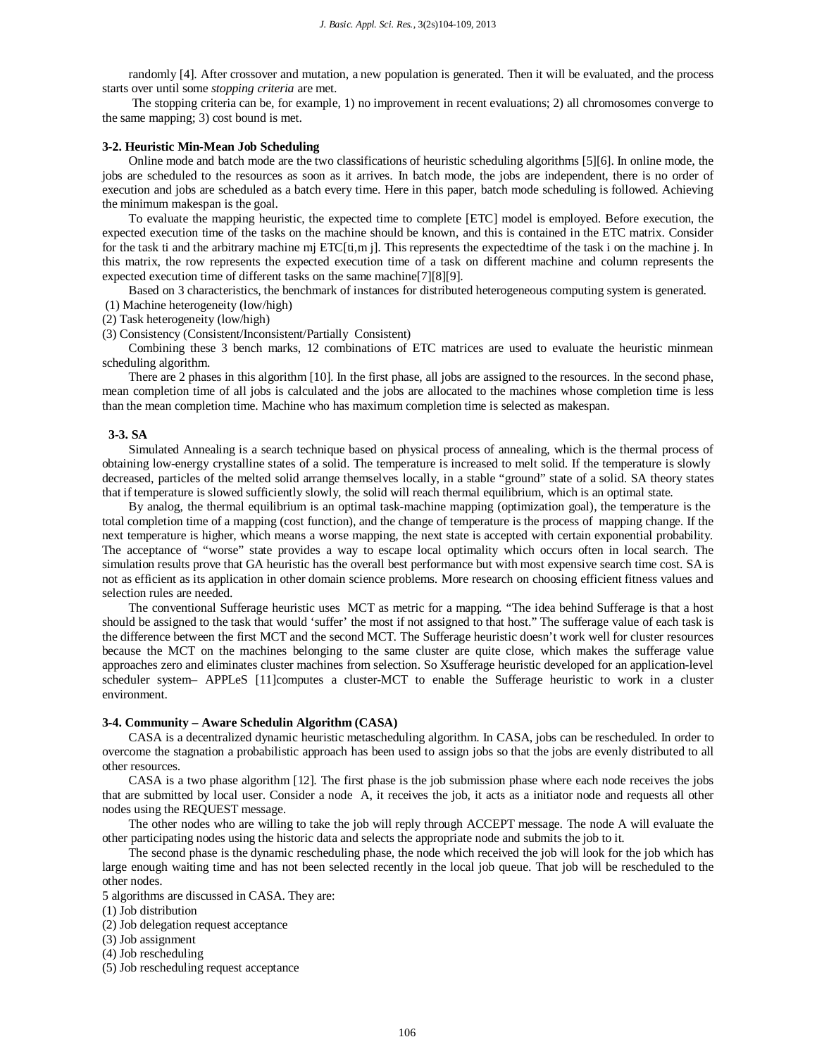randomly [4]. After crossover and mutation, a new population is generated. Then it will be evaluated, and the process starts over until some *stopping criteria* are met.

The stopping criteria can be, for example, 1) no improvement in recent evaluations; 2) all chromosomes converge to the same mapping; 3) cost bound is met.

#### **3-2. Heuristic Min-Mean Job Scheduling**

Online mode and batch mode are the two classifications of heuristic scheduling algorithms [5][6]. In online mode, the jobs are scheduled to the resources as soon as it arrives. In batch mode, the jobs are independent, there is no order of execution and jobs are scheduled as a batch every time. Here in this paper, batch mode scheduling is followed. Achieving the minimum makespan is the goal.

To evaluate the mapping heuristic, the expected time to complete [ETC] model is employed. Before execution, the expected execution time of the tasks on the machine should be known, and this is contained in the ETC matrix. Consider for the task ti and the arbitrary machine mj ETC[ti,m j]. This represents the expectedtime of the task i on the machine j. In this matrix, the row represents the expected execution time of a task on different machine and column represents the expected execution time of different tasks on the same machine[7][8][9].

Based on 3 characteristics, the benchmark of instances for distributed heterogeneous computing system is generated.

(1) Machine heterogeneity (low/high)

(2) Task heterogeneity (low/high)

(3) Consistency (Consistent/Inconsistent/Partially Consistent)

Combining these 3 bench marks, 12 combinations of ETC matrices are used to evaluate the heuristic minmean scheduling algorithm.

There are 2 phases in this algorithm [10]. In the first phase, all jobs are assigned to the resources. In the second phase, mean completion time of all jobs is calculated and the jobs are allocated to the machines whose completion time is less than the mean completion time. Machine who has maximum completion time is selected as makespan.

#### **3-3. SA**

Simulated Annealing is a search technique based on physical process of annealing, which is the thermal process of obtaining low-energy crystalline states of a solid. The temperature is increased to melt solid. If the temperature is slowly decreased, particles of the melted solid arrange themselves locally, in a stable "ground" state of a solid. SA theory states that if temperature is slowed sufficiently slowly, the solid will reach thermal equilibrium, which is an optimal state.

By analog, the thermal equilibrium is an optimal task-machine mapping (optimization goal), the temperature is the total completion time of a mapping (cost function), and the change of temperature is the process of mapping change. If the next temperature is higher, which means a worse mapping, the next state is accepted with certain exponential probability. The acceptance of "worse" state provides a way to escape local optimality which occurs often in local search. The simulation results prove that GA heuristic has the overall best performance but with most expensive search time cost. SA is not as efficient as its application in other domain science problems. More research on choosing efficient fitness values and selection rules are needed.

The conventional Sufferage heuristic uses MCT as metric for a mapping. "The idea behind Sufferage is that a host should be assigned to the task that would 'suffer' the most if not assigned to that host." The sufferage value of each task is the difference between the first MCT and the second MCT. The Sufferage heuristic doesn't work well for cluster resources because the MCT on the machines belonging to the same cluster are quite close, which makes the sufferage value approaches zero and eliminates cluster machines from selection. So Xsufferage heuristic developed for an application-level scheduler system– APPLeS [11]computes a cluster-MCT to enable the Sufferage heuristic to work in a cluster environment.

#### **3-4. Community – Aware Schedulin Algorithm (CASA)**

CASA is a decentralized dynamic heuristic metascheduling algorithm. In CASA, jobs can be rescheduled. In order to overcome the stagnation a probabilistic approach has been used to assign jobs so that the jobs are evenly distributed to all other resources.

CASA is a two phase algorithm [12]. The first phase is the job submission phase where each node receives the jobs that are submitted by local user. Consider a node A, it receives the job, it acts as a initiator node and requests all other nodes using the REQUEST message.

The other nodes who are willing to take the job will reply through ACCEPT message. The node A will evaluate the other participating nodes using the historic data and selects the appropriate node and submits the job to it.

The second phase is the dynamic rescheduling phase, the node which received the job will look for the job which has large enough waiting time and has not been selected recently in the local job queue. That job will be rescheduled to the other nodes.

5 algorithms are discussed in CASA. They are:

(1) Job distribution

- (2) Job delegation request acceptance
- (3) Job assignment
- (4) Job rescheduling
- (5) Job rescheduling request acceptance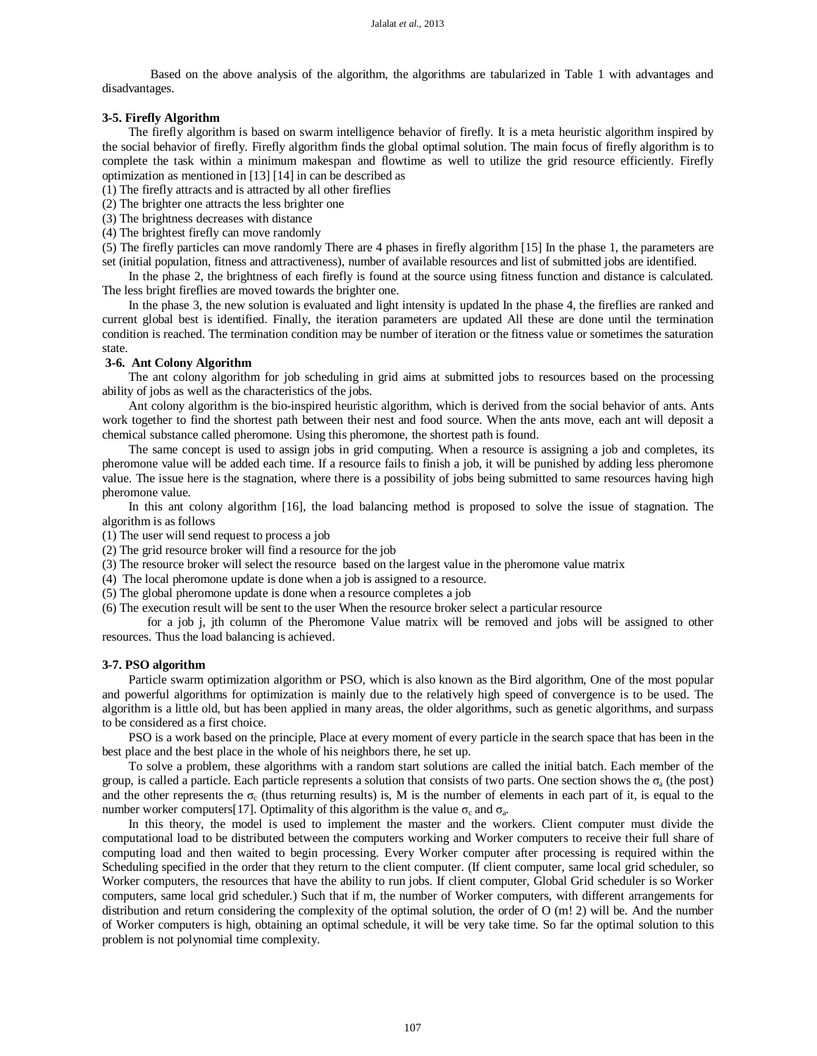Based on the above analysis of the algorithm, the algorithms are tabularized in Table 1 with advantages and disadvantages.

#### **3-5. Firefly Algorithm**

The firefly algorithm is based on swarm intelligence behavior of firefly. It is a meta heuristic algorithm inspired by the social behavior of firefly. Firefly algorithm finds the global optimal solution. The main focus of firefly algorithm is to complete the task within a minimum makespan and flowtime as well to utilize the grid resource efficiently. Firefly optimization as mentioned in [13] [14] in can be described as

(1) The firefly attracts and is attracted by all other fireflies

(2) The brighter one attracts the less brighter one

(3) The brightness decreases with distance

(4) The brightest firefly can move randomly

(5) The firefly particles can move randomly There are 4 phases in firefly algorithm [15] In the phase 1, the parameters are set (initial population, fitness and attractiveness), number of available resources and list of submitted jobs are identified.

In the phase 2, the brightness of each firefly is found at the source using fitness function and distance is calculated. The less bright fireflies are moved towards the brighter one.

In the phase 3, the new solution is evaluated and light intensity is updated In the phase 4, the fireflies are ranked and current global best is identified. Finally, the iteration parameters are updated All these are done until the termination condition is reached. The termination condition may be number of iteration or the fitness value or sometimes the saturation state.

### **3-6. Ant Colony Algorithm**

The ant colony algorithm for job scheduling in grid aims at submitted jobs to resources based on the processing ability of jobs as well as the characteristics of the jobs.

Ant colony algorithm is the bio-inspired heuristic algorithm, which is derived from the social behavior of ants. Ants work together to find the shortest path between their nest and food source. When the ants move, each ant will deposit a chemical substance called pheromone. Using this pheromone, the shortest path is found.

The same concept is used to assign jobs in grid computing. When a resource is assigning a job and completes, its pheromone value will be added each time. If a resource fails to finish a job, it will be punished by adding less pheromone value. The issue here is the stagnation, where there is a possibility of jobs being submitted to same resources having high pheromone value.

In this ant colony algorithm [16], the load balancing method is proposed to solve the issue of stagnation. The algorithm is as follows

(1) The user will send request to process a job

- (2) The grid resource broker will find a resource for the job
- (3) The resource broker will select the resource based on the largest value in the pheromone value matrix
- (4) The local pheromone update is done when a job is assigned to a resource.

(5) The global pheromone update is done when a resource completes a job

(6) The execution result will be sent to the user When the resource broker select a particular resource

for a job j, jth column of the Pheromone Value matrix will be removed and jobs will be assigned to other resources. Thus the load balancing is achieved.

#### **3-7. PSO algorithm**

Particle swarm optimization algorithm or PSO, which is also known as the Bird algorithm, One of the most popular and powerful algorithms for optimization is mainly due to the relatively high speed of convergence is to be used. The algorithm is a little old, but has been applied in many areas, the older algorithms, such as genetic algorithms, and surpass to be considered as a first choice.

PSO is a work based on the principle, Place at every moment of every particle in the search space that has been in the best place and the best place in the whole of his neighbors there, he set up.

To solve a problem, these algorithms with a random start solutions are called the initial batch. Each member of the group, is called a particle. Each particle represents a solution that consists of two parts. One section shows the  $\sigma_a$  (the post) and the other represents the  $\sigma_c$  (thus returning results) is, M is the number of elements in each part of it, is equal to the number worker computers[17]. Optimality of this algorithm is the value  $\sigma_c$  and  $\sigma_a$ .

In this theory, the model is used to implement the master and the workers. Client computer must divide the computational load to be distributed between the computers working and Worker computers to receive their full share of computing load and then waited to begin processing. Every Worker computer after processing is required within the Scheduling specified in the order that they return to the client computer. (If client computer, same local grid scheduler, so Worker computers, the resources that have the ability to run jobs. If client computer, Global Grid scheduler is so Worker computers, same local grid scheduler.) Such that if m, the number of Worker computers, with different arrangements for distribution and return considering the complexity of the optimal solution, the order of O (m! 2) will be. And the number of Worker computers is high, obtaining an optimal schedule, it will be very take time. So far the optimal solution to this problem is not polynomial time complexity.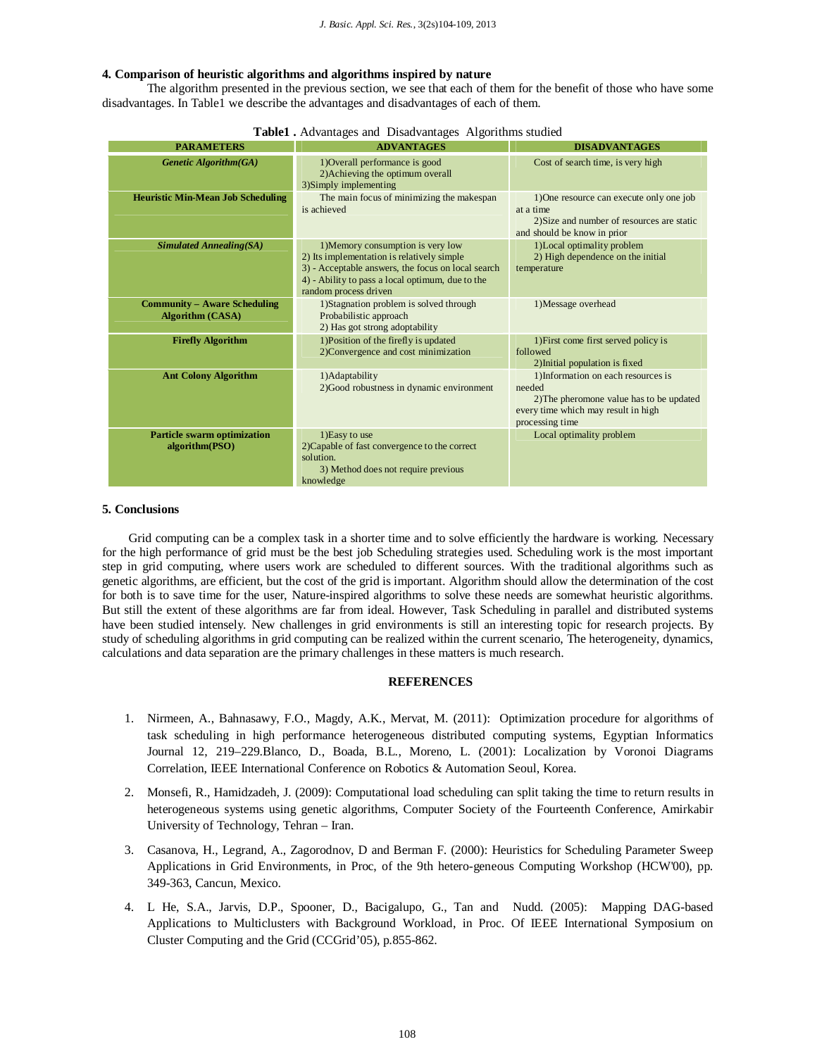## **4. Comparison of heuristic algorithms and algorithms inspired by nature**

The algorithm presented in the previous section, we see that each of them for the benefit of those who have some disadvantages. In Table1 we describe the advantages and disadvantages of each of them.

| <b>PARAMETERS</b>                                              | <b>ADVANTAGES</b>                                                                                                                                                                                                  | <b>DISADVANTAGES</b>                                                                                                                                |
|----------------------------------------------------------------|--------------------------------------------------------------------------------------------------------------------------------------------------------------------------------------------------------------------|-----------------------------------------------------------------------------------------------------------------------------------------------------|
| Genetic Algorithm(GA)                                          | 1) Overall performance is good<br>2) Achieving the optimum overall<br>3)Simply implementing                                                                                                                        | Cost of search time, is very high                                                                                                                   |
| <b>Heuristic Min-Mean Job Scheduling</b>                       | The main focus of minimizing the makespan<br>is achieved                                                                                                                                                           | 1) One resource can execute only one job<br>at a time<br>2) Size and number of resources are static<br>and should be know in prior                  |
| <b>Simulated Annealing(SA)</b>                                 | 1) Memory consumption is very low<br>2) Its implementation is relatively simple<br>3) - Acceptable answers, the focus on local search<br>4) - Ability to pass a local optimum, due to the<br>random process driven | 1)Local optimality problem<br>2) High dependence on the initial<br>temperature                                                                      |
| <b>Community – Aware Scheduling</b><br><b>Algorithm (CASA)</b> | 1) Stagnation problem is solved through<br>Probabilistic approach<br>2) Has got strong adoptability                                                                                                                | 1) Message overhead                                                                                                                                 |
| <b>Firefly Algorithm</b>                                       | 1) Position of the firefly is updated<br>2)Convergence and cost minimization                                                                                                                                       | 1) First come first served policy is<br>followed<br>2) Initial population is fixed                                                                  |
| <b>Ant Colony Algorithm</b>                                    | 1) Adaptability<br>2) Good robustness in dynamic environment                                                                                                                                                       | 1) Information on each resources is<br>needed<br>2) The pheromone value has to be updated<br>every time which may result in high<br>processing time |
| <b>Particle swarm optimization</b><br>algorithm(PSO)           | 1) Easy to use<br>2)Capable of fast convergence to the correct<br>solution.<br>3) Method does not require previous<br>knowledge                                                                                    | Local optimality problem                                                                                                                            |

| Table1. Advantages and Disadvantages Algorithms studied |  |
|---------------------------------------------------------|--|
|                                                         |  |

#### **5. Conclusions**

Grid computing can be a complex task in a shorter time and to solve efficiently the hardware is working. Necessary for the high performance of grid must be the best job Scheduling strategies used. Scheduling work is the most important step in grid computing, where users work are scheduled to different sources. With the traditional algorithms such as genetic algorithms, are efficient, but the cost of the grid is important. Algorithm should allow the determination of the cost for both is to save time for the user, Nature-inspired algorithms to solve these needs are somewhat heuristic algorithms. But still the extent of these algorithms are far from ideal. However, Task Scheduling in parallel and distributed systems have been studied intensely. New challenges in grid environments is still an interesting topic for research projects. By study of scheduling algorithms in grid computing can be realized within the current scenario, The heterogeneity, dynamics, calculations and data separation are the primary challenges in these matters is much research.

#### **REFERENCES**

- 1. Nirmeen, A., Bahnasawy, F.O., Magdy, A.K., Mervat, M. (2011): Optimization procedure for algorithms of task scheduling in high performance heterogeneous distributed computing systems, Egyptian Informatics Journal 12, 219–229.Blanco, D., Boada, B.L., Moreno, L. (2001): Localization by Voronoi Diagrams Correlation, IEEE International Conference on Robotics & Automation Seoul, Korea.
- 2. Monsefi, R., Hamidzadeh, J. (2009): Computational load scheduling can split taking the time to return results in heterogeneous systems using genetic algorithms, Computer Society of the Fourteenth Conference, Amirkabir University of Technology, Tehran – Iran.
- 3. Casanova, H., Legrand, A., Zagorodnov, D and Berman F. (2000): Heuristics for Scheduling Parameter Sweep Applications in Grid Environments, in Proc, of the 9th hetero-geneous Computing Workshop (HCW'00), pp. 349-363, Cancun, Mexico.
- 4. L He, S.A., Jarvis, D.P., Spooner, D., Bacigalupo, G., Tan and Nudd. (2005): Mapping DAG-based Applications to Multiclusters with Background Workload, in Proc. Of IEEE International Symposium on Cluster Computing and the Grid (CCGrid'05), p.855-862.